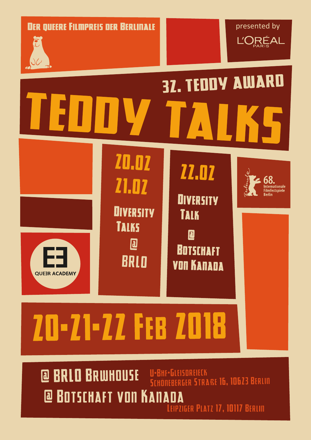**DER QUEERE FILMPREIS DER BERLINALE** 





# **32. TEDDY AWARD 20.02**



**Z1.02 DIVERSITY TALKS** 回

BRLO

**71.02 DIVERSITY TALK** D

**BOTSCHAFT** 

**VON KANADA** 



**20-21-22 FEB 2018** 

@ BRLO BRWHOUSE U-BHF-GLEISOREIECK EBERGER STRAßE 16, 10623 BERLIN **@ BOTSCHAFT VON KANA** Л LEIPZIGER PLATZ 17, 10117 BERLIN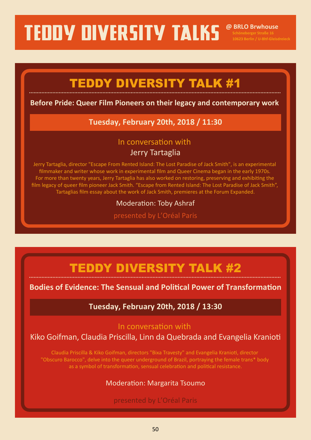**@ BRLO Brwhouse**

# TEDDY DIVERSITY TALK #1

### **Before Pride: Queer Film Pioneers on their legacy and contemporary work**

### **Tuesday, February 20th, 2018 / 11:30**

### In conversation with Jerry Tartaglia

Jerry Tartaglia, director "Escape From Rented Island: The Lost Paradise of Jack Smith", is an experimental filmmaker and writer whose work in experimental film and Queer Cinema began in the early 1970s. For more than twenty years, Jerry Tartaglia has also worked on restoring, preserving and exhibiting the film legacy of queer film pioneer Jack Smith. "Escape from Rented Island: The Lost Paradise of Jack Smith", Tartaglias film essay about the work of Jack Smith, premieres at the Forum Expanded.

### Moderation: Toby Ashraf

presented by L'Oréal Paris

### TEDDY DIVERSITY TALK #2

### **Bodies of Evidence: The Sensual and Political Power of Transformation**

### **Tuesday, February 20th, 2018 / 13:30**

### In conversation with

### Kiko Goifman, Claudia Priscilla, Linn da Quebrada and Evangelia Kranioti

Claudia Priscilla & Kiko Goifman, directors "Bixa Travesty" and Evangelia Kranioti, director "Obscuro Barocco", delve into the queer underground of Brazil, portraying the female trans\* body as a symbol of transformation, sensual celebration and political resistance.

### Moderation: Margarita Tsoumo

### presented by L'Oréal Paris